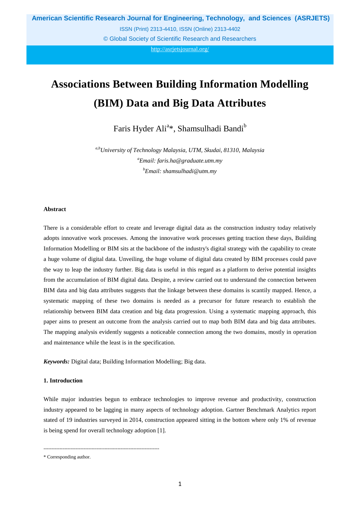**American Scientific Research Journal for Engineering, Technology, and Sciences (ASRJETS)**

ISSN (Print) 2313-4410, ISSN (Online) 2313-4402

© Global Society of Scientific Research and Researchers

http://asrjetsjournal.org/

# **Associations Between Building Information Modelling (BIM) Data and Big Data Attributes**

Faris Hyder Ali<sup>a</sup>\*, Shamsulhadi Bandi<sup>b</sup>

*a,bUniversity of Technology Malaysia, UTM, Skudai, 81310, Malaysia <sup>a</sup>Email: faris.ha@graduate.utm.my b Email: shamsulhadi@utm.my*

## **Abstract**

There is a considerable effort to create and leverage digital data as the construction industry today relatively adopts innovative work processes. Among the innovative work processes getting traction these days, Building Information Modelling or BIM sits at the backbone of the industry's digital strategy with the capability to create a huge volume of digital data. Unveiling, the huge volume of digital data created by BIM processes could pave the way to leap the industry further. Big data is useful in this regard as a platform to derive potential insights from the accumulation of BIM digital data. Despite, a review carried out to understand the connection between BIM data and big data attributes suggests that the linkage between these domains is scantily mapped. Hence, a systematic mapping of these two domains is needed as a precursor for future research to establish the relationship between BIM data creation and big data progression. Using a systematic mapping approach, this paper aims to present an outcome from the analysis carried out to map both BIM data and big data attributes. The mapping analysis evidently suggests a noticeable connection among the two domains, mostly in operation and maintenance while the least is in the specification.

*Keywords:* Digital data; Building Information Modelling; Big data.

#### **1. Introduction**

While major industries begun to embrace technologies to improve revenue and productivity, construction industry appeared to be lagging in many aspects of technology adoption. Gartner Benchmark Analytics report stated of 19 industries surveyed in 2014, construction appeared sitting in the bottom where only 1% of revenue is being spend for overall technology adoption [1].

------------------------------------------------------------------------

<sup>\*</sup> Corresponding author.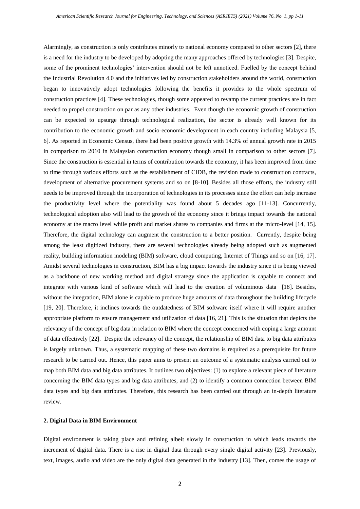Alarmingly, as construction is only contributes minorly to national economy compared to other sectors [2], there is a need for the industry to be developed by adopting the many approaches offered by technologies [3]. Despite, some of the prominent technologies' intervention should not be left unnoticed. Fuelled by the concept behind the Industrial Revolution 4.0 and the initiatives led by construction stakeholders around the world, construction began to innovatively adopt technologies following the benefits it provides to the whole spectrum of construction practices [4]. These technologies, though some appeared to revamp the current practices are in fact needed to propel construction on par as any other industries. Even though the economic growth of construction can be expected to upsurge through technological realization, the sector is already well known for its contribution to the economic growth and socio-economic development in each country including Malaysia [5, 6]. As reported in Economic Census, there had been positive growth with 14.3% of annual growth rate in 2015 in comparison to 2010 in Malaysian construction economy though small in comparison to other sectors [7]. Since the construction is essential in terms of contribution towards the economy, it has been improved from time to time through various efforts such as the establishment of CIDB, the revision made to construction contracts, development of alternative procurement systems and so on [8-10]. Besides all those efforts, the industry still needs to be improved through the incorporation of technologies in its processes since the effort can help increase the productivity level where the potentiality was found about 5 decades ago [11-13]. Concurrently, technological adoption also will lead to the growth of the economy since it brings impact towards the national economy at the macro level while profit and market shares to companies and firms at the micro-level [14, 15]. Therefore, the digital technology can augment the construction to a better position. Currently, despite being among the least digitized industry, there are several technologies already being adopted such as augmented reality, building information modeling (BIM) software, cloud computing, Internet of Things and so on [16, 17]. Amidst several technologies in construction, BIM has a big impact towards the industry since it is being viewed as a backbone of new working method and digital strategy since the application is capable to connect and integrate with various kind of software which will lead to the creation of voluminous data [18]. Besides, without the integration, BIM alone is capable to produce huge amounts of data throughout the building lifecycle [19, 20]. Therefore, it inclines towards the outdatedness of BIM software itself where it will require another appropriate platform to ensure management and utilization of data [16, 21]. This is the situation that depicts the relevancy of the concept of big data in relation to BIM where the concept concerned with coping a large amount of data effectively [22]. Despite the relevancy of the concept, the relationship of BIM data to big data attributes is largely unknown. Thus, a systematic mapping of these two domains is required as a prerequisite for future research to be carried out. Hence, this paper aims to present an outcome of a systematic analysis carried out to map both BIM data and big data attributes. It outlines two objectives: (1) to explore a relevant piece of literature concerning the BIM data types and big data attributes, and (2) to identify a common connection between BIM data types and big data attributes. Therefore, this research has been carried out through an in-depth literature review.

## **2. Digital Data in BIM Environment**

Digital environment is taking place and refining albeit slowly in construction in which leads towards the increment of digital data. There is a rise in digital data through every single digital activity [23]. Previously, text, images, audio and video are the only digital data generated in the industry [13]. Then, comes the usage of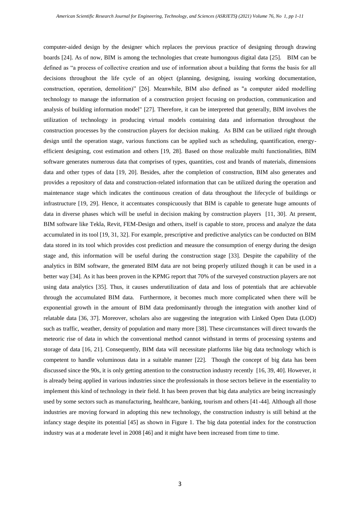computer-aided design by the designer which replaces the previous practice of designing through drawing boards [24]. As of now, BIM is among the technologies that create humongous digital data [25]. BIM can be defined as "a process of collective creation and use of information about a building that forms the basis for all decisions throughout the life cycle of an object (planning, designing, issuing working documentation, construction, operation, demolition)" [26]. Meanwhile, BIM also defined as "a computer aided modelling technology to manage the information of a construction project focusing on production, communication and analysis of building information model" [27]. Therefore, it can be interpreted that generally, BIM involves the utilization of technology in producing virtual models containing data and information throughout the construction processes by the construction players for decision making. As BIM can be utilized right through design until the operation stage, various functions can be applied such as scheduling, quantification, energyefficient designing, cost estimation and others [19, 28]. Based on those realizable multi functionalities, BIM software generates numerous data that comprises of types, quantities, cost and brands of materials, dimensions data and other types of data [19, 20]. Besides, after the completion of construction, BIM also generates and provides a repository of data and construction-related information that can be utilized during the operation and maintenance stage which indicates the continuous creation of data throughout the lifecycle of buildings or infrastructure [19, 29]. Hence, it accentuates conspicuously that BIM is capable to generate huge amounts of data in diverse phases which will be useful in decision making by construction players [11, 30]. At present, BIM software like Tekla, Revit, FEM-Design and others, itself is capable to store, process and analyze the data accumulated in its tool [19, 31, 32]. For example, prescriptive and predictive analytics can be conducted on BIM data stored in its tool which provides cost prediction and measure the consumption of energy during the design stage and, this information will be useful during the construction stage [33]. Despite the capability of the analytics in BIM software, the generated BIM data are not being properly utilized though it can be used in a better way [34]. As it has been proven in the KPMG report that 70% of the surveyed construction players are not using data analytics [35]. Thus, it causes underutilization of data and loss of potentials that are achievable through the accumulated BIM data. Furthermore, it becomes much more complicated when there will be exponential growth in the amount of BIM data predominantly through the integration with another kind of relatable data [36, 37]. Moreover, scholars also are suggesting the integration with Linked Open Data (LOD) such as traffic, weather, density of population and many more [38]. These circumstances will direct towards the meteoric rise of data in which the conventional method cannot withstand in terms of processing systems and storage of data [16, 21]. Consequently, BIM data will necessitate platforms like big data technology which is competent to handle voluminous data in a suitable manner [22]. Though the concept of big data has been discussed since the 90s, it is only getting attention to the construction industry recently [16, 39, 40]. However, it is already being applied in various industries since the professionals in those sectors believe in the essentiality to implement this kind of technology in their field. It has been proven that big data analytics are being increasingly used by some sectors such as manufacturing, healthcare, banking, tourism and others [41-44]. Although all those industries are moving forward in adopting this new technology, the construction industry is still behind at the infancy stage despite its potential [45] as shown in Figure 1. The big data potential index for the construction industry was at a moderate level in 2008 [46] and it might have been increased from time to time.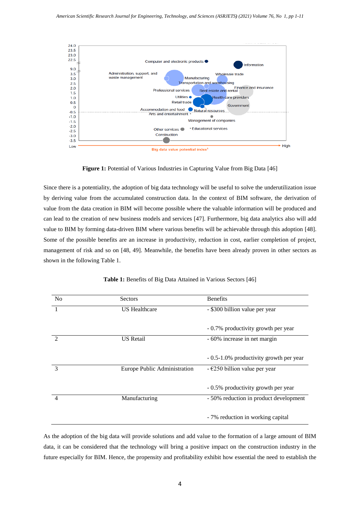

Big data value potential index

Figure 1: Potential of Various Industries in Capturing Value from Big Data [\[46\]](#page-8-0)

Since there is a potentiality, the adoption of big data technology will be useful to solve the underutilization issue by deriving value from the accumulated construction data. In the context of BIM software, the derivation of value from the data creation in BIM will become possible where the valuable information will be produced and can lead to the creation of new business models and services [\[47\]](#page-8-1). Furthermore, big data analytics also will add value to BIM by forming data-driven BIM where various benefits will be achievable through this adoption [\[48\]](#page-8-2). Some of the possible benefits are an increase in productivity, reduction in cost, earlier completion of project, management of risk and so on [\[48,](#page-8-2) [49\]](#page-8-3). Meanwhile, the benefits have been already proven in other sectors as shown in the following Table 1.

|  |  |  | Table 1: Benefits of Big Data Attained in Various Sectors [46] |  |  |
|--|--|--|----------------------------------------------------------------|--|--|
|  |  |  |                                                                |  |  |

| N <sub>o</sub> | Sectors                      | <b>Benefits</b>                         |
|----------------|------------------------------|-----------------------------------------|
|                | <b>US</b> Healthcare         | - \$300 billion value per year          |
|                |                              |                                         |
|                |                              | - 0.7% productivity growth per year     |
| $\mathfrak{D}$ | <b>US</b> Retail             | - 60% increase in net margin            |
|                |                              |                                         |
|                |                              | - 0.5-1.0% productivity growth per year |
| 3              | Europe Public Administration | - $\epsilon$ 250 billion value per year |
|                |                              |                                         |
|                |                              | - 0.5% productivity growth per year     |
| 4              | Manufacturing                | - 50% reduction in product development  |
|                |                              |                                         |
|                |                              | - 7% reduction in working capital       |

As the adoption of the big data will provide solutions and add value to the formation of a large amount of BIM data, it can be considered that the technology will bring a positive impact on the construction industry in the future especially for BIM. Hence, the propensity and profitability exhibit how essential the need to establish the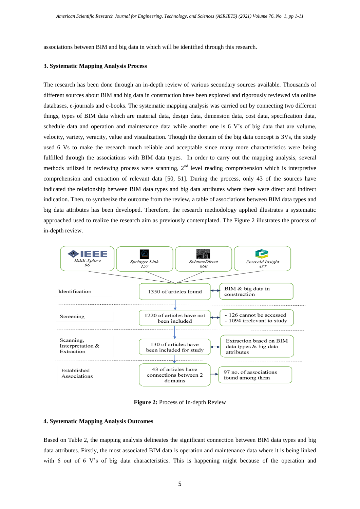associations between BIM and big data in which will be identified through this research.

#### **3. Systematic Mapping Analysis Process**

The research has been done through an in-depth review of various secondary sources available. Thousands of different sources about BIM and big data in construction have been explored and rigorously reviewed via online databases, e-journals and e-books. The systematic mapping analysis was carried out by connecting two different things, types of BIM data which are material data, design data, dimension data, cost data, specification data, schedule data and operation and maintenance data while another one is 6 V's of big data that are volume, velocity, variety, veracity, value and visualization. Though the domain of the big data concept is 3Vs, the study used 6 Vs to make the research much reliable and acceptable since many more characteristics were being fulfilled through the associations with BIM data types. In order to carry out the mapping analysis, several methods utilized in reviewing process were scanning,  $2<sup>nd</sup>$  level reading comprehension which is interpretive comprehension and extraction of relevant data [\[50,](#page-8-4) [51\]](#page-8-5). During the process, only 43 of the sources have indicated the relationship between BIM data types and big data attributes where there were direct and indirect indication. Then, to synthesize the outcome from the review, a table of associations between BIM data types and big data attributes has been developed. Therefore, the research methodology applied illustrates a systematic approached used to realize the research aim as previously contemplated. The Figure 2 illustrates the process of in-depth review.



**Figure 2:** Process of In-depth Review

#### **4. Systematic Mapping Analysis Outcomes**

Based on Table 2, the mapping analysis delineates the significant connection between BIM data types and big data attributes. Firstly, the most associated BIM data is operation and maintenance data where it is being linked with 6 out of 6 V's of big data characteristics. This is happening might because of the operation and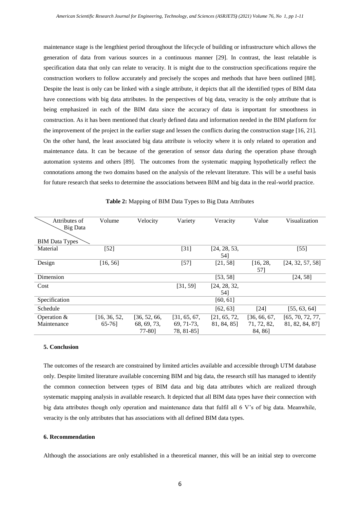maintenance stage is the lengthiest period throughout the lifecycle of building or infrastructure which allows the generation of data from various sources in a continuous manner [29]. In contrast, the least relatable is specification data that only can relate to veracity. It is might due to the construction specifications require the construction workers to follow accurately and precisely the scopes and methods that have been outlined [88]. Despite the least is only can be linked with a single attribute, it depicts that all the identified types of BIM data have connections with big data attributes. In the perspectives of big data, veracity is the only attribute that is being emphasized in each of the BIM data since the accuracy of data is important for smoothness in construction. As it has been mentioned that clearly defined data and information needed in the BIM platform for the improvement of the project in the earlier stage and lessen the conflicts during the construction stage [16, 21]. On the other hand, the least associated big data attribute is velocity where it is only related to operation and maintenance data. It can be because of the generation of sensor data during the operation phase through automation systems and others [89]. The outcomes from the systematic mapping hypothetically reflect the connotations among the two domains based on the analysis of the relevant literature. This will be a useful basis for future research that seeks to determine the associations between BIM and big data in the real-world practice.

| Attributes of         | Volume       | Velocity     | Variety      | Veracity     | Value        | Visualization    |
|-----------------------|--------------|--------------|--------------|--------------|--------------|------------------|
| Big Data              |              |              |              |              |              |                  |
|                       |              |              |              |              |              |                  |
|                       |              |              |              |              |              |                  |
| <b>BIM</b> Data Types |              |              |              |              |              |                  |
| Material              | $[52]$       |              | $[31]$       | [24, 28, 53, |              | $[55]$           |
|                       |              |              |              | 54]          |              |                  |
| Design                | [16, 56]     |              | $[57]$       | [21, 58]     | [16, 28,     | [24, 32, 57, 58] |
|                       |              |              |              |              | 571          |                  |
| Dimension             |              |              |              | [53, 58]     |              | [24, 58]         |
| Cost                  |              |              | [31, 59]     | [24, 28, 32, |              |                  |
|                       |              |              |              | 54]          |              |                  |
| Specification         |              |              |              | [60, 61]     |              |                  |
| Schedule              |              |              |              | [62, 63]     | [24]         | [55, 63, 64]     |
| Operation $&$         | [16, 36, 52, | [36, 52, 66, | [31, 65, 67, | [21, 65, 72, | [36, 66, 67] | [65, 70, 72, 77, |
| Maintenance           | $65-76$ ]    | 68, 69, 73,  | 69, 71-73,   | 81, 84, 85]  | 71, 72, 82,  | 81, 82, 84, 87]  |
|                       |              | 77-801       | 78, 81-851   |              | 84, 86]      |                  |

| Table 2: Mapping of BIM Data Types to Big Data Attributes |  |
|-----------------------------------------------------------|--|
|-----------------------------------------------------------|--|

## **5. Conclusion**

The outcomes of the research are constrained by limited articles available and accessible through UTM database only. Despite limited literature available concerning BIM and big data, the research still has managed to identify the common connection between types of BIM data and big data attributes which are realized through systematic mapping analysis in available research. It depicted that all BIM data types have their connection with big data attributes though only operation and maintenance data that fulfil all 6 V's of big data. Meanwhile, veracity is the only attributes that has associations with all defined BIM data types.

## **6. Recommendation**

Although the associations are only established in a theoretical manner, this will be an initial step to overcome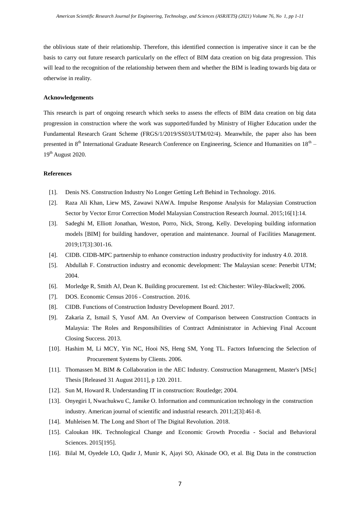the oblivious state of their relationship. Therefore, this identified connection is imperative since it can be the basis to carry out future research particularly on the effect of BIM data creation on big data progression. This will lead to the recognition of the relationship between them and whether the BIM is leading towards big data or otherwise in reality.

#### **Acknowledgements**

This research is part of ongoing research which seeks to assess the effects of BIM data creation on big data progression in construction where the work was supported/funded by Ministry of Higher Education under the Fundamental Research Grant Scheme (FRGS/1/2019/SS03/UTM/02/4). Meanwhile, the paper also has been presented in  $8<sup>th</sup>$  International Graduate Research Conference on Engineering, Science and Humanities on  $18<sup>th</sup>$  – 19<sup>th</sup> August 2020.

#### **References**

- [1]. Denis NS. Construction Industry No Longer Getting Left Behind in Technology. 2016.
- [2]. Raza Ali Khan, Liew MS, Zawawi NAWA. Impulse Response Analysis for Malaysian Construction Sector by Vector Error Correction Model Malaysian Construction Research Journal. 2015;16[1]:14.
- [3]. Sadeghi M, Elliott Jonathan, Weston, Porro, Nick, Strong, Kelly. Developing building information models [BIM] for building handover, operation and maintenance. Journal of Facilities Management. 2019;17[3]:301-16.
- [4]. CIDB. CIDB-MPC partnership to enhance construction industry productivity for industry 4.0. 2018.
- [5]. Abdullah F. Construction industry and economic development: The Malaysian scene: Penerbit UTM; 2004.
- [6]. Morledge R, Smith AJ, Dean K. Building procurement. 1st ed: Chichester: Wiley-Blackwell; 2006.
- [7]. DOS. Economic Census 2016 Construction. 2016.
- [8]. CIDB. Functions of Construction Industry Development Board. 2017.
- [9]. Zakaria Z, Ismail S, Yusof AM. An Overview of Comparison between Construction Contracts in Malaysia: The Roles and Responsibilities of Contract Administrator in Achieving Final Account Closing Success. 2013.
- [10]. Hashim M, Li MCY, Yin NC, Hooi NS, Heng SM, Yong TL. Factors Infuencing the Selection of Procurement Systems by Clients. 2006.
- [11]. Thomassen M. BIM & Collaboration in the AEC Industry. Construction Management, Master's [MSc] Thesis [Released 31 August 2011], p 120. 2011.
- [12]. Sun M, Howard R. Understanding IT in construction: Routledge; 2004.
- [13]. Onyegiri I, Nwachukwu C, Jamike O. Information and communication technology in the construction industry. American journal of scientific and industrial research. 2011;2[3]:461-8.
- [14]. Muhleisen M. The Long and Short of The Digital Revolution. 2018.
- [15]. Caloukan HK. Technological Change and Economic Growth Procedia Social and Behavioral Sciences. 2015[195].
- <span id="page-6-0"></span>[16]. Bilal M, Oyedele LO, Qadir J, Munir K, Ajayi SO, Akinade OO, et al. Big Data in the construction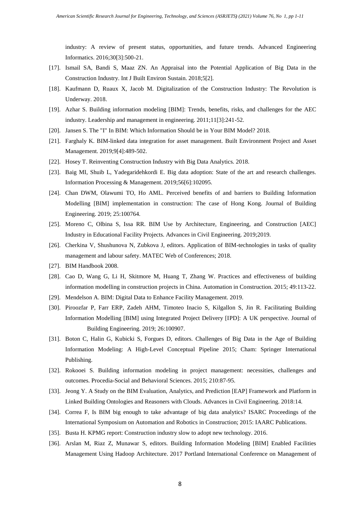industry: A review of present status, opportunities, and future trends. Advanced Engineering Informatics. 2016;30[3]:500-21.

- [17]. Ismail SA, Bandi S, Maaz ZN. An Appraisal into the Potential Application of Big Data in the Construction Industry. Int J Built Environ Sustain. 2018;5[2].
- [18]. Kaufmann D, Ruaux X, Jacob M. Digitalization of the Construction Industry: The Revolution is Underway. 2018.
- [19]. Azhar S. Building information modeling [BIM]: Trends, benefits, risks, and challenges for the AEC industry. Leadership and management in engineering. 2011;11[3]:241-52.
- [20]. Jansen S. The "I" In BIM: Which Information Should be in Your BIM Model? 2018.
- <span id="page-7-3"></span>[21]. Farghaly K. BIM-linked data integration for asset management. Built Environment Project and Asset Management. 2019;9[4]:489-502.
- [22]. Hosey T. Reinventing Construction Industry with Big Data Analytics. 2018.
- [23]. Baig MI, Shuib L, Yadegaridehkordi E. Big data adoption: State of the art and research challenges. Information Processing & Management. 2019;56[6]:102095.
- <span id="page-7-1"></span>[24]. Chan DWM, Olawumi TO, Ho AML. Perceived benefits of and barriers to Building Information Modelling [BIM] implementation in construction: The case of Hong Kong. Journal of Building Engineering. 2019; 25:100764.
- [25]. Moreno C, Olbina S, Issa RR. BIM Use by Architecture, Engineering, and Construction [AEC] Industry in Educational Facility Projects. Advances in Civil Engineering. 2019;2019.
- [26]. Cherkina V, Shushunova N, Zubkova J, editors. Application of BIM-technologies in tasks of quality management and labour safety. MATEC Web of Conferences; 2018.
- [27]. BIM Handbook 2008.
- <span id="page-7-2"></span>[28]. Cao D, Wang G, Li H, Skitmore M, Huang T, Zhang W. Practices and effectiveness of building information modelling in construction projects in China. Automation in Construction. 2015; 49:113-22.
- [29]. Mendelson A. BIM: Digital Data to Enhance Facility Management. 2019.
- [30]. Piroozfar P, Farr ERP, Zadeh AHM, Timoteo Inacio S, Kilgallon S, Jin R. Facilitating Building Information Modelling [BIM] using Integrated Project Delivery [IPD]: A UK perspective. Journal of Building Engineering. 2019; 26:100907.
- <span id="page-7-0"></span>[31]. Boton C, Halin G, Kubicki S, Forgues D, editors. Challenges of Big Data in the Age of Building Information Modeling: A High-Level Conceptual Pipeline 2015; Cham: Springer International Publishing.
- <span id="page-7-4"></span>[32]. Rokooei S. Building information modeling in project management: necessities, challenges and outcomes. Procedia-Social and Behavioral Sciences. 2015; 210:87-95.
- [33]. Jeong Y. A Study on the BIM Evaluation, Analytics, and Prediction [EAP] Framework and Platform in Linked Building Ontologies and Reasoners with Clouds. Advances in Civil Engineering. 2018:14.
- [34]. Correa F, Is BIM big enough to take advantage of big data analytics? ISARC Proceedings of the International Symposium on Automation and Robotics in Construction; 2015: IAARC Publications.
- [35]. Busta H. KPMG report: Construction industry slow to adopt new technology. 2016.
- <span id="page-7-5"></span>[36]. Arslan M, Riaz Z, Munawar S, editors. Building Information Modeling [BIM] Enabled Facilities Management Using Hadoop Architecture. 2017 Portland International Conference on Management of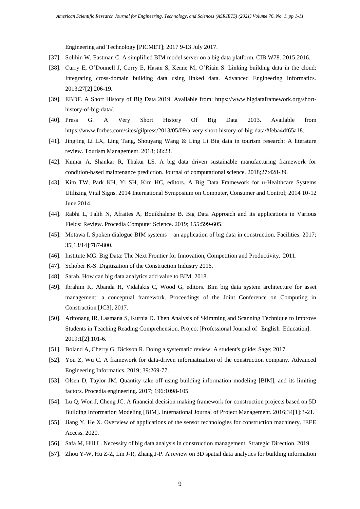Engineering and Technology [PICMET]; 2017 9-13 July 2017.

- [37]. Solihin W, Eastman C. A simplified BIM model server on a big data platform. CIB W78. 2015;2016.
- [38]. Curry E, O'Donnell J, Corry E, Hasan S, Keane M, O'Riain S. Linking building data in the cloud: Integrating cross-domain building data using linked data. Advanced Engineering Informatics. 2013;27[2]:206-19.
- [39]. EBDF. A Short History of Big Data 2019. Available from: https://www.bigdataframework.org/shorthistory-of-big-data/.
- [40]. Press G. A Very Short History Of Big Data 2013. Available from https://www.forbes.com/sites/gilpress/2013/05/09/a-very-short-history-of-big-data/#feba4df65a18.
- [41]. Jingjing Li LX, Ling Tang, Shouyang Wang & Ling Li Big data in tourism research: A literature review. Tourism Management. 2018; 68:23.
- [42]. Kumar A, Shankar R, Thakur LS. A big data driven sustainable manufacturing framework for condition-based maintenance prediction. Journal of computational science. 2018;27:428-39.
- [43]. Kim TW, Park KH, Yi SH, Kim HC, editors. A Big Data Framework for u-Healthcare Systems Utilizing Vital Signs. 2014 International Symposium on Computer, Consumer and Control; 2014 10-12 June 2014.
- [44]. Rabhi L, Falih N, Afraites A, Bouikhalene B. Big Data Approach and its applications in Various Fields: Review. Procedia Computer Science. 2019; 155:599-605.
- [45]. Motawa I. Spoken dialogue BIM systems an application of big data in construction. Facilities. 2017; 35[13/14]:787-800.
- <span id="page-8-0"></span>[46]. Institute MG. Big Data: The Next Frontier for Innovation, Competition and Productivity. 2011.
- <span id="page-8-1"></span>[47]. Schober K-S. Digitization of the Construction Industry 2016.
- <span id="page-8-2"></span>[48]. Sarah. How can big data analytics add value to BIM. 2018.
- <span id="page-8-3"></span>[49]. Ibrahim K, Abanda H, Vidalakis C, Wood G, editors. Bim big data system architecture for asset management: a conceptual framework. Proceedings of the Joint Conference on Computing in Construction [JC3]; 2017.
- <span id="page-8-4"></span>[50]. Aritonang IR, Lasmana S, Kurnia D. Then Analysis of Skimming and Scanning Technique to Improve Students in Teaching Reading Comprehension. Project [Professional Journal of English Education]. 2019;1[2]:101-6.
- <span id="page-8-5"></span>[51]. Boland A, Cherry G, Dickson R. Doing a systematic review: A student's guide: Sage; 2017.
- <span id="page-8-6"></span>[52]. You Z, Wu C. A framework for data-driven informatization of the construction company. Advanced Engineering Informatics. 2019; 39:269-77.
- <span id="page-8-7"></span>[53]. Olsen D, Taylor JM. Quantity take-off using building information modeling [BIM], and its limiting factors. Procedia engineering. 2017; 196:1098-105.
- <span id="page-8-8"></span>[54]. Lu Q, Won J, Cheng JC. A financial decision making framework for construction projects based on 5D Building Information Modeling [BIM]. International Journal of Project Management. 2016;34[1]:3-21.
- <span id="page-8-9"></span>[55]. Jiang Y, He X. Overview of applications of the sensor technologies for construction machinery. IEEE Access. 2020.
- <span id="page-8-10"></span>[56]. Safa M, Hill L. Necessity of big data analysis in construction management. Strategic Direction. 2019.
- <span id="page-8-11"></span>[57]. Zhou Y-W, Hu Z-Z, Lin J-R, Zhang J-P. A review on 3D spatial data analytics for building information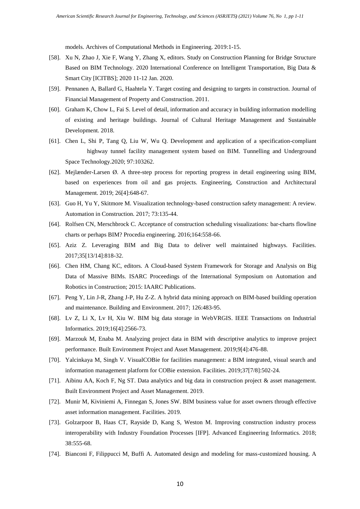models. Archives of Computational Methods in Engineering. 2019:1-15.

- <span id="page-9-0"></span>[58]. Xu N, Zhao J, Xie F, Wang Y, Zhang X, editors. Study on Construction Planning for Bridge Structure Based on BIM Technology. 2020 International Conference on Intelligent Transportation, Big Data & Smart City [ICITBS]; 2020 11-12 Jan. 2020.
- <span id="page-9-1"></span>[59]. Pennanen A, Ballard G, Haahtela Y. Target costing and designing to targets in construction. Journal of Financial Management of Property and Construction. 2011.
- <span id="page-9-2"></span>[60]. Graham K, Chow L, Fai S. Level of detail, information and accuracy in building information modelling of existing and heritage buildings. Journal of Cultural Heritage Management and Sustainable Development. 2018.
- <span id="page-9-3"></span>[61]. Chen L, Shi P, Tang Q, Liu W, Wu Q. Development and application of a specification-compliant highway tunnel facility management system based on BIM. Tunnelling and Underground Space Technology.2020; 97:103262.
- <span id="page-9-4"></span>[62]. Mejlænder-Larsen Ø. A three-step process for reporting progress in detail engineering using BIM, based on experiences from oil and gas projects. Engineering, Construction and Architectural Management. 2019; 26[4]:648-67.
- <span id="page-9-5"></span>[63]. Guo H, Yu Y, Skitmore M. Visualization technology-based construction safety management: A review. Automation in Construction. 2017; 73:135-44.
- <span id="page-9-6"></span>[64]. Rolfsen CN, Merschbrock C. Acceptance of construction scheduling visualizations: bar-charts flowline charts or perhaps BIM? Procedia engineering. 2016;164:558-66.
- <span id="page-9-7"></span>[65]. Aziz Z. Leveraging BIM and Big Data to deliver well maintained highways. Facilities. 2017;35[13/14]:818-32.
- <span id="page-9-8"></span>[66]. Chen HM, Chang KC, editors. A Cloud-based System Framework for Storage and Analysis on Big Data of Massive BIMs. ISARC Proceedings of the International Symposium on Automation and Robotics in Construction; 2015: IAARC Publications.
- <span id="page-9-12"></span>[67]. Peng Y, Lin J-R, Zhang J-P, Hu Z-Z. A hybrid data mining approach on BIM-based building operation and maintenance. Building and Environment. 2017; 126:483-95.
- <span id="page-9-9"></span>[68]. Lv Z, Li X, Lv H, Xiu W. BIM big data storage in WebVRGIS. IEEE Transactions on Industrial Informatics. 2019;16[4]:2566-73.
- <span id="page-9-10"></span>[69]. Marzouk M, Enaba M. Analyzing project data in BIM with descriptive analytics to improve project performance. Built Environment Project and Asset Management. 2019;9[4]:476-88.
- <span id="page-9-15"></span>[70]. Yalcinkaya M, Singh V. VisualCOBie for facilities management: a BIM integrated, visual search and information management platform for COBie extension. Facilities. 2019;37[7/8]:502-24.
- <span id="page-9-13"></span>[71]. Aibinu AA, Koch F, Ng ST. Data analytics and big data in construction project & asset management. Built Environment Project and Asset Management. 2019.
- <span id="page-9-14"></span>[72]. Munir M, Kiviniemi A, Finnegan S, Jones SW. BIM business value for asset owners through effective asset information management. Facilities. 2019.
- <span id="page-9-11"></span>[73]. Golzarpoor B, Haas CT, Rayside D, Kang S, Weston M. Improving construction industry process interoperability with Industry Foundation Processes [IFP]. Advanced Engineering Informatics. 2018; 38:555-68.
- [74]. Bianconi F, Filippucci M, Buffi A. Automated design and modeling for mass-customized housing. A